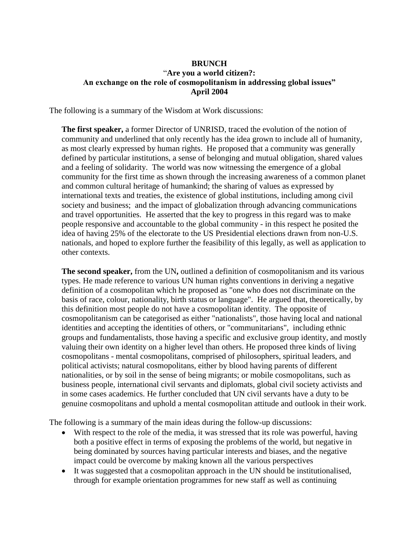## **BRUNCH** "**Are you a world citizen?: An exchange on the role of cosmopolitanism in addressing global issues" April 2004**

The following is a summary of the Wisdom at Work discussions:

**The first speaker,** a former Director of UNRISD, traced the evolution of the notion of community and underlined that only recently has the idea grown to include all of humanity, as most clearly expressed by human rights. He proposed that a community was generally defined by particular institutions, a sense of belonging and mutual obligation, shared values and a feeling of solidarity. The world was now witnessing the emergence of a global community for the first time as shown through the increasing awareness of a common planet and common cultural heritage of humankind; the sharing of values as expressed by international texts and treaties, the existence of global institutions, including among civil society and business; and the impact of globalization through advancing communications and travel opportunities. He asserted that the key to progress in this regard was to make people responsive and accountable to the global community - in this respect he posited the idea of having 25% of the electorate to the US Presidential elections drawn from non-U.S. nationals, and hoped to explore further the feasibility of this legally, as well as application to other contexts.

**The second speaker,** from the UN**,** outlined a definition of cosmopolitanism and its various types. He made reference to various UN human rights conventions in deriving a negative definition of a cosmopolitan which he proposed as "one who does not discriminate on the basis of race, colour, nationality, birth status or language". He argued that, theoretically, by this definition most people do not have a cosmopolitan identity. The opposite of cosmopolitanism can be categorised as either "nationalists", those having local and national identities and accepting the identities of others, or "communitarians", including ethnic groups and fundamentalists, those having a specific and exclusive group identity, and mostly valuing their own identity on a higher level than others. He proposed three kinds of living cosmopolitans - mental cosmopolitans, comprised of philosophers, spiritual leaders, and political activists; natural cosmopolitans, either by blood having parents of different nationalities, or by soil in the sense of being migrants; or mobile cosmopolitans, such as business people, international civil servants and diplomats, global civil society activists and in some cases academics. He further concluded that UN civil servants have a duty to be genuine cosmopolitans and uphold a mental cosmopolitan attitude and outlook in their work.

The following is a summary of the main ideas during the follow-up discussions:

- With respect to the role of the media, it was stressed that its role was powerful, having both a positive effect in terms of exposing the problems of the world, but negative in being dominated by sources having particular interests and biases, and the negative impact could be overcome by making known all the various perspectives
- It was suggested that a cosmopolitan approach in the UN should be institutionalised, through for example orientation programmes for new staff as well as continuing